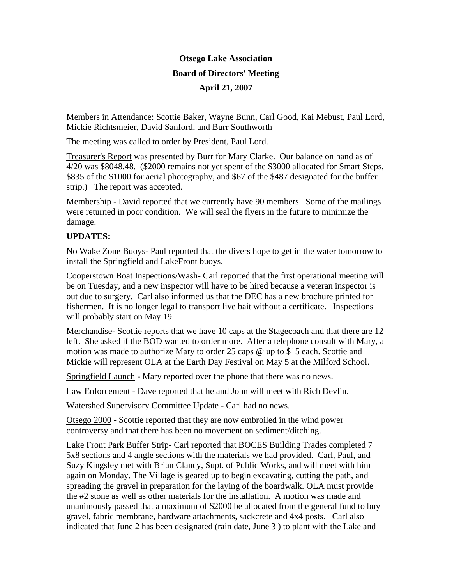## **Otsego Lake Association Board of Directors' Meeting April 21, 2007**

Members in Attendance: Scottie Baker, Wayne Bunn, Carl Good, Kai Mebust, Paul Lord, Mickie Richtsmeier, David Sanford, and Burr Southworth

The meeting was called to order by President, Paul Lord.

Treasurer's Report was presented by Burr for Mary Clarke. Our balance on hand as of 4/20 was \$8048.48. (\$2000 remains not yet spent of the \$3000 allocated for Smart Steps, \$835 of the \$1000 for aerial photography, and \$67 of the \$487 designated for the buffer strip.) The report was accepted.

Membership - David reported that we currently have 90 members. Some of the mailings were returned in poor condition. We will seal the flyers in the future to minimize the damage.

## **UPDATES:**

No Wake Zone Buoys- Paul reported that the divers hope to get in the water tomorrow to install the Springfield and LakeFront buoys.

Cooperstown Boat Inspections/Wash- Carl reported that the first operational meeting will be on Tuesday, and a new inspector will have to be hired because a veteran inspector is out due to surgery. Carl also informed us that the DEC has a new brochure printed for fishermen. It is no longer legal to transport live bait without a certificate. Inspections will probably start on May 19.

Merchandise- Scottie reports that we have 10 caps at the Stagecoach and that there are 12 left. She asked if the BOD wanted to order more. After a telephone consult with Mary, a motion was made to authorize Mary to order 25 caps @ up to \$15 each. Scottie and Mickie will represent OLA at the Earth Day Festival on May 5 at the Milford School.

Springfield Launch - Mary reported over the phone that there was no news.

Law Enforcement - Dave reported that he and John will meet with Rich Devlin.

Watershed Supervisory Committee Update - Carl had no news.

Otsego 2000 - Scottie reported that they are now embroiled in the wind power controversy and that there has been no movement on sediment/ditching.

Lake Front Park Buffer Strip- Carl reported that BOCES Building Trades completed 7 5x8 sections and 4 angle sections with the materials we had provided. Carl, Paul, and Suzy Kingsley met with Brian Clancy, Supt. of Public Works, and will meet with him again on Monday. The Village is geared up to begin excavating, cutting the path, and spreading the gravel in preparation for the laying of the boardwalk. OLA must provide the #2 stone as well as other materials for the installation. A motion was made and unanimously passed that a maximum of \$2000 be allocated from the general fund to buy gravel, fabric membrane, hardware attachments, sackcrete and 4x4 posts. Carl also indicated that June 2 has been designated (rain date, June 3 ) to plant with the Lake and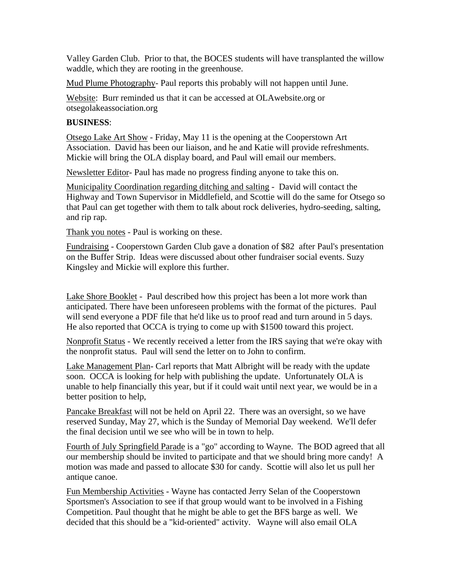Valley Garden Club. Prior to that, the BOCES students will have transplanted the willow waddle, which they are rooting in the greenhouse.

Mud Plume Photography- Paul reports this probably will not happen until June.

Website: Burr reminded us that it can be accessed at OLAwebsite.org or otsegolakeassociation.org

## **BUSINESS**:

Otsego Lake Art Show - Friday, May 11 is the opening at the Cooperstown Art Association. David has been our liaison, and he and Katie will provide refreshments. Mickie will bring the OLA display board, and Paul will email our members.

Newsletter Editor- Paul has made no progress finding anyone to take this on.

Municipality Coordination regarding ditching and salting - David will contact the Highway and Town Supervisor in Middlefield, and Scottie will do the same for Otsego so that Paul can get together with them to talk about rock deliveries, hydro-seeding, salting, and rip rap.

Thank you notes - Paul is working on these.

Fundraising - Cooperstown Garden Club gave a donation of \$82 after Paul's presentation on the Buffer Strip. Ideas were discussed about other fundraiser social events. Suzy Kingsley and Mickie will explore this further.

Lake Shore Booklet - Paul described how this project has been a lot more work than anticipated. There have been unforeseen problems with the format of the pictures. Paul will send everyone a PDF file that he'd like us to proof read and turn around in 5 days. He also reported that OCCA is trying to come up with \$1500 toward this project.

Nonprofit Status - We recently received a letter from the IRS saying that we're okay with the nonprofit status. Paul will send the letter on to John to confirm.

Lake Management Plan- Carl reports that Matt Albright will be ready with the update soon. OCCA is looking for help with publishing the update. Unfortunately OLA is unable to help financially this year, but if it could wait until next year, we would be in a better position to help,

Pancake Breakfast will not be held on April 22. There was an oversight, so we have reserved Sunday, May 27, which is the Sunday of Memorial Day weekend. We'll defer the final decision until we see who will be in town to help.

Fourth of July Springfield Parade is a "go" according to Wayne. The BOD agreed that all our membership should be invited to participate and that we should bring more candy! A motion was made and passed to allocate \$30 for candy. Scottie will also let us pull her antique canoe.

Fun Membership Activities - Wayne has contacted Jerry Selan of the Cooperstown Sportsmen's Association to see if that group would want to be involved in a Fishing Competition. Paul thought that he might be able to get the BFS barge as well. We decided that this should be a "kid-oriented" activity. Wayne will also email OLA